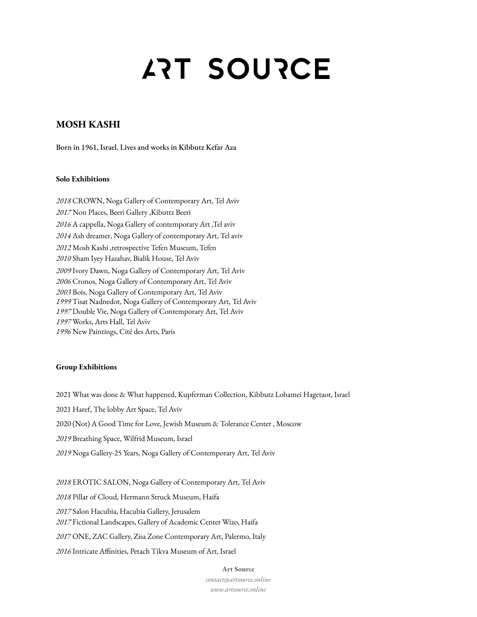# **ART SOURCE**

## **MOSH KASHI**

Born in 1961, Israel. Lives and works in Kibbutz Kefar Aza

## **Solo Exhibitions**

 CROWN, Noga Gallery of Contemporary Art, Tel Aviv Non Places, Beeri Gallery ,Kibuttz Beeri A cappella, Noga Gallery of contemporary Art ,Tel aviv Ash dreamer, Noga Gallery of contemporary Art, Tel aviv Mosh Kashi ,retrospective Tefen Museum, Tefen Sham Iyey Hazahav, Bialik House, Tel Aviv Ivory Dawn, Noga Gallery of Contemporary Art, Tel Aviv Cronos, Noga Gallery of Contemporary Art, Tel Aviv Bois, Noga Gallery of Contemporary Art, Tel Aviv Tisat Nadnedot, Noga Gallery of Contemporary Art, Tel Aviv Double Vie, Noga Gallery of Contemporary Art, Tel Aviv Works, Arts Hall, Tel Aviv New Paintings, Cité des Arts, Paris

## **Group Exhibitions**

 What was done & What happened, Kupferman Collection, Kibbutz Lohamei Hagetaot, Israel Haref, The lobby Art Space, Tel Aviv (Not) A Good Time for Love, Jewish Museum & Tolerance Center , Moscow Breathing Space, Wilfrid Museum, Israel Noga Gallery-25 Years, Noga Gallery of Contemporary Art, Tel Aviv

 EROTIC SALON, Noga Gallery of Contemporary Art, Tel Aviv Pillar of Cloud, Hermann Struck Museum, Haifa Salon Hacubia, Hacubia Gallery, Jerusalem Fictional Landscapes, Gallery of Academic Center Wizo, Haifa 7 ONE, ZAC Gallery, Zisa Zone Contemporary Art, Palermo, Italy Intricate Affinities, Petach Tikva Museum of Art, Israel

#### **Art Source**

*contact@artsource.online www.artsource.online*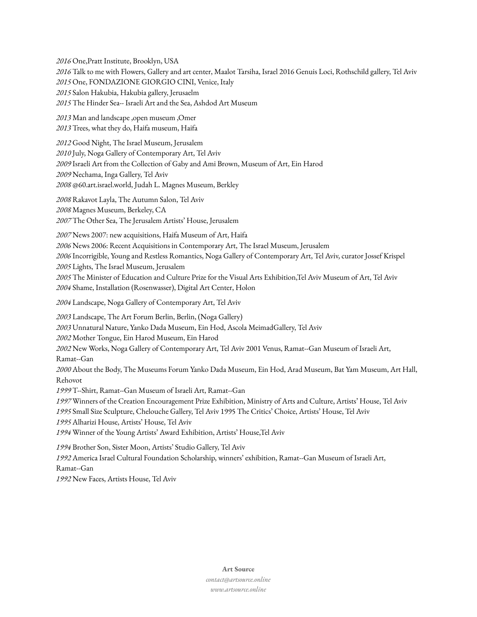One,Pratt Institute, Brooklyn, USA Talk to me with Flowers, Gallery and art center, Maalot Tarsiha, Israel 2016 Genuis Loci, Rothschild gallery, Tel Aviv One, FONDAZIONE GIORGIO CINI, Venice, Italy Salon Hakubia, Hakubia gallery, Jerusaelm The Hinder Sea-‐ Israeli Art and the Sea, Ashdod Art Museum

 Man and landscape ,open museum ,Omer Trees, what they do, Haifa museum, Haifa

 Good Night, The Israel Museum, Jerusalem July, Noga Gallery of Contemporary Art, Tel Aviv Israeli Art from the Collection of Gaby and Ami Brown, Museum of Art, Ein Harod Nechama, Inga Gallery, Tel Aviv @60.art.israel.world, Judah L. Magnes Museum, Berkley

 Rakavot Layla, The Autumn Salon, Tel Aviv Magnes Museum, Berkeley, CA The Other Sea, The Jerusalem Artists' House, Jerusalem

News 2007: new acquisitions, Haifa Museum of Art, Haifa

News 2006: Recent Acquisitions in Contemporary Art, The Israel Museum, Jerusalem

 Incorrigible, Young and Restless Romantics, Noga Gallery of Contemporary Art, Tel Aviv, curator Jossef Krispel Lights, The Israel Museum, Jerusalem

 The Minister of Education and Culture Prize for the Visual Arts Exhibition,Tel Aviv Museum of Art, Tel Aviv Shame, Installation (Rosenwasser), Digital Art Center, Holon

Landscape, Noga Gallery of Contemporary Art, Tel Aviv

 Landscape, The Art Forum Berlin, Berlin, (Noga Gallery) Unnatural Nature, Yanko Dada Museum, Ein Hod, Ascola MeimadGallery, Tel Aviv Mother Tongue, Ein Harod Museum, Ein Harod New Works, Noga Gallery of Contemporary Art, Tel Aviv 2001 Venus, Ramat-‐Gan Museum of Israeli Art, Ramat-‐Gan About the Body, The Museums Forum Yanko Dada Museum, Ein Hod, Arad Museum, Bat Yam Museum, Art Hall, Rehovot

T-‐Shirt, Ramat-‐Gan Museum of Israeli Art, Ramat-‐Gan

 Winners of the Creation Encouragement Prize Exhibition, Ministry of Arts and Culture, Artists' House, Tel Aviv Small Size Sculpture, Chelouche Gallery, Tel Aviv 1995 The Critics' Choice, Artists' House, Tel Aviv Alharizi House, Artists' House, Tel Aviv

Winner of the Young Artists' Award Exhibition, Artists' House,Tel Aviv

Brother Son, Sister Moon, Artists' Studio Gallery, Tel Aviv

 America Israel Cultural Foundation Scholarship, winners' exhibition, Ramat-‐Gan Museum of Israeli Art, Ramat-‐Gan

New Faces, Artists House, Tel Aviv

#### **Art Source**

*contact@artsource.online www.artsource.online*